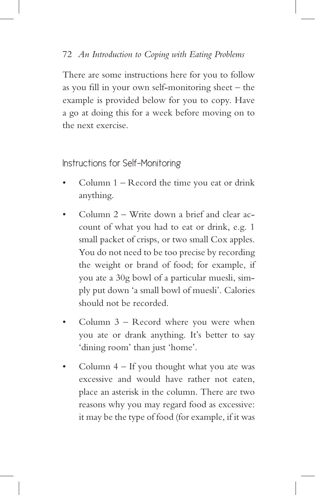Instructions for Self-Monitoring

- Column  $1 -$  Record the time you eat or drink anything.
- Column  $2$  Write down a brief and clear account of what you had to eat or drink, e.g. 1 small packet of crisps, or two small Cox apples. You do not need to be too precise by recording the weight or brand of food; for example, if you ate a 30g bowl of a particular muesli, simply put down 'a small bowl of muesli'. Calories should not be recorded.
- Column  $3$  Record where you were when you ate or drank anything. It's better to say 'dining room' than just 'home'.
- Column  $4 If you thought what you ate was$ excessive and would have rather not eaten, place an asterisk in the column. There are two reasons why you may regard food as excessive: it may be the type of food (for example, if it was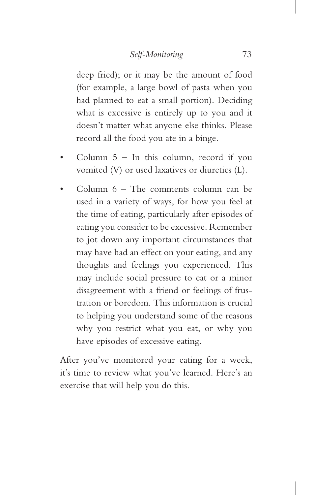deep fried); or it may be the amount of food (for example, a large bowl of pasta when you had planned to eat a small portion). Deciding what is excessive is entirely up to you and it doesn't matter what anyone else thinks. Please record all the food you ate in a binge.

- Column  $5 -$  In this column, record if you vomited (V) or used laxatives or diuretics (L).
- Column  $6$  The comments column can be used in a variety of ways, for how you feel at the time of eating, particularly after episodes of eating you consider to be excessive. Remember to jot down any important circumstances that may have had an effect on your eating, and any thoughts and feelings you experienced. This may include social pressure to eat or a minor disagreement with a friend or feelings of frustration or boredom. This information is crucial to helping you understand some of the reasons why you restrict what you eat, or why you have episodes of excessive eating.

After you've monitored your eating for a week, it's time to review what you've learned. Here's an exercise that will help you do this.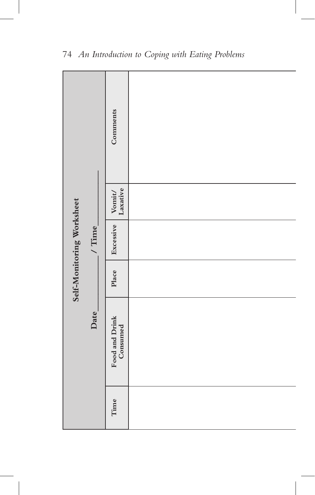| Self-Monitoring Worksheet |             | Comments                   |  |
|---------------------------|-------------|----------------------------|--|
|                           |             | Vomit/<br>Laxative         |  |
|                           | / Time $\_$ | Excessive                  |  |
|                           |             | Place                      |  |
|                           | Date        | Food and Drink<br>Consumed |  |
|                           |             | Time                       |  |